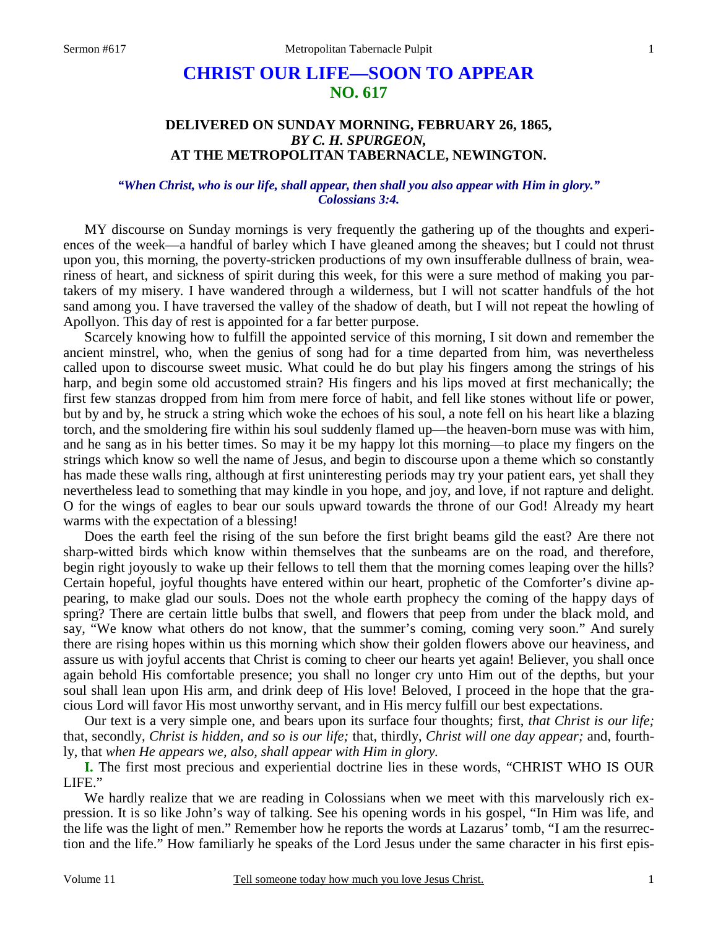# **CHRIST OUR LIFE—SOON TO APPEAR NO. 617**

## **DELIVERED ON SUNDAY MORNING, FEBRUARY 26, 1865,**  *BY C. H. SPURGEON,*  **AT THE METROPOLITAN TABERNACLE, NEWINGTON.**

#### *"When Christ, who is our life, shall appear, then shall you also appear with Him in glory." Colossians 3:4.*

MY discourse on Sunday mornings is very frequently the gathering up of the thoughts and experiences of the week—a handful of barley which I have gleaned among the sheaves; but I could not thrust upon you, this morning, the poverty-stricken productions of my own insufferable dullness of brain, weariness of heart, and sickness of spirit during this week, for this were a sure method of making you partakers of my misery. I have wandered through a wilderness, but I will not scatter handfuls of the hot sand among you. I have traversed the valley of the shadow of death, but I will not repeat the howling of Apollyon. This day of rest is appointed for a far better purpose.

Scarcely knowing how to fulfill the appointed service of this morning, I sit down and remember the ancient minstrel, who, when the genius of song had for a time departed from him, was nevertheless called upon to discourse sweet music. What could he do but play his fingers among the strings of his harp, and begin some old accustomed strain? His fingers and his lips moved at first mechanically; the first few stanzas dropped from him from mere force of habit, and fell like stones without life or power, but by and by, he struck a string which woke the echoes of his soul, a note fell on his heart like a blazing torch, and the smoldering fire within his soul suddenly flamed up—the heaven-born muse was with him, and he sang as in his better times. So may it be my happy lot this morning—to place my fingers on the strings which know so well the name of Jesus, and begin to discourse upon a theme which so constantly has made these walls ring, although at first uninteresting periods may try your patient ears, yet shall they nevertheless lead to something that may kindle in you hope, and joy, and love, if not rapture and delight. O for the wings of eagles to bear our souls upward towards the throne of our God! Already my heart warms with the expectation of a blessing!

 Does the earth feel the rising of the sun before the first bright beams gild the east? Are there not sharp-witted birds which know within themselves that the sunbeams are on the road, and therefore, begin right joyously to wake up their fellows to tell them that the morning comes leaping over the hills? Certain hopeful, joyful thoughts have entered within our heart, prophetic of the Comforter's divine appearing, to make glad our souls. Does not the whole earth prophecy the coming of the happy days of spring? There are certain little bulbs that swell, and flowers that peep from under the black mold, and say, "We know what others do not know, that the summer's coming, coming very soon." And surely there are rising hopes within us this morning which show their golden flowers above our heaviness, and assure us with joyful accents that Christ is coming to cheer our hearts yet again! Believer, you shall once again behold His comfortable presence; you shall no longer cry unto Him out of the depths, but your soul shall lean upon His arm, and drink deep of His love! Beloved, I proceed in the hope that the gracious Lord will favor His most unworthy servant, and in His mercy fulfill our best expectations.

 Our text is a very simple one, and bears upon its surface four thoughts; first, *that Christ is our life;* that, secondly, *Christ is hidden, and so is our life;* that, thirdly, *Christ will one day appear;* and, fourthly, that *when He appears we, also, shall appear with Him in glory.* 

**I.** The first most precious and experiential doctrine lies in these words, "CHRIST WHO IS OUR LIFE."

We hardly realize that we are reading in Colossians when we meet with this marvelously rich expression. It is so like John's way of talking. See his opening words in his gospel, "In Him was life, and the life was the light of men." Remember how he reports the words at Lazarus' tomb, "I am the resurrection and the life." How familiarly he speaks of the Lord Jesus under the same character in his first epis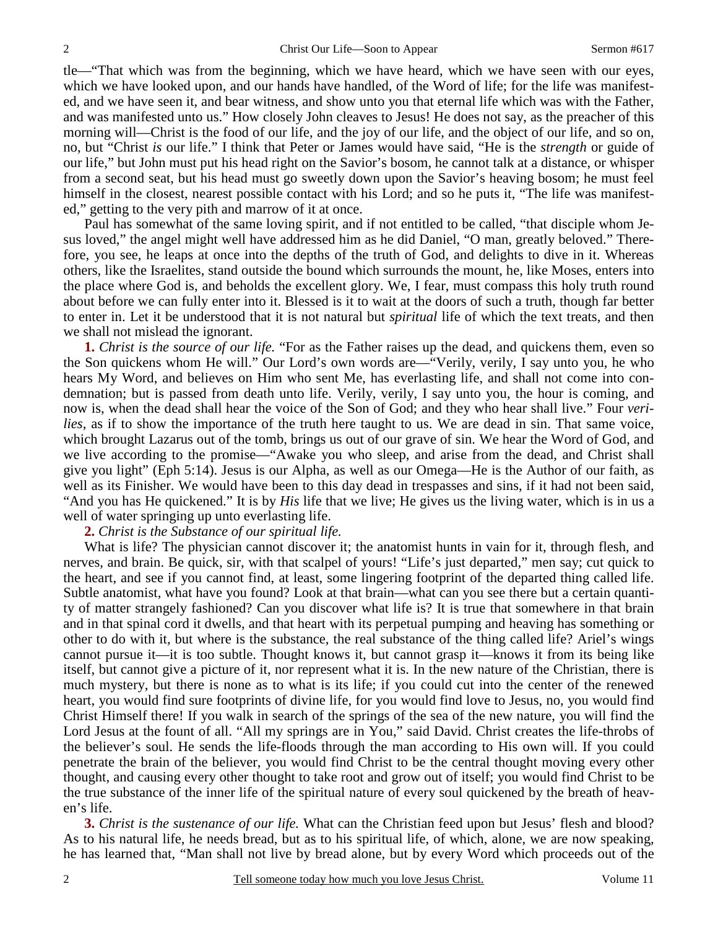tle—"That which was from the beginning, which we have heard, which we have seen with our eyes, which we have looked upon, and our hands have handled, of the Word of life; for the life was manifested, and we have seen it, and bear witness, and show unto you that eternal life which was with the Father, and was manifested unto us." How closely John cleaves to Jesus! He does not say, as the preacher of this morning will—Christ is the food of our life, and the joy of our life, and the object of our life, and so on, no, but "Christ *is* our life." I think that Peter or James would have said, "He is the *strength* or guide of our life," but John must put his head right on the Savior's bosom, he cannot talk at a distance, or whisper from a second seat, but his head must go sweetly down upon the Savior's heaving bosom; he must feel himself in the closest, nearest possible contact with his Lord; and so he puts it, "The life was manifested," getting to the very pith and marrow of it at once.

Paul has somewhat of the same loving spirit, and if not entitled to be called, "that disciple whom Jesus loved," the angel might well have addressed him as he did Daniel, "O man, greatly beloved." Therefore, you see, he leaps at once into the depths of the truth of God, and delights to dive in it. Whereas others, like the Israelites, stand outside the bound which surrounds the mount, he, like Moses, enters into the place where God is, and beholds the excellent glory. We, I fear, must compass this holy truth round about before we can fully enter into it. Blessed is it to wait at the doors of such a truth, though far better to enter in. Let it be understood that it is not natural but *spiritual* life of which the text treats, and then we shall not mislead the ignorant.

**1.** *Christ is the source of our life.* "For as the Father raises up the dead, and quickens them, even so the Son quickens whom He will." Our Lord's own words are—"Verily, verily, I say unto you, he who hears My Word, and believes on Him who sent Me, has everlasting life, and shall not come into condemnation; but is passed from death unto life. Verily, verily, I say unto you, the hour is coming, and now is, when the dead shall hear the voice of the Son of God; and they who hear shall live." Four *verilies*, as if to show the importance of the truth here taught to us. We are dead in sin. That same voice, which brought Lazarus out of the tomb, brings us out of our grave of sin. We hear the Word of God, and we live according to the promise—"Awake you who sleep, and arise from the dead, and Christ shall give you light" (Eph 5:14). Jesus is our Alpha, as well as our Omega—He is the Author of our faith, as well as its Finisher. We would have been to this day dead in trespasses and sins, if it had not been said, "And you has He quickened." It is by *His* life that we live; He gives us the living water, which is in us a well of water springing up unto everlasting life.

## **2.** *Christ is the Substance of our spiritual life.*

What is life? The physician cannot discover it; the anatomist hunts in vain for it, through flesh, and nerves, and brain. Be quick, sir, with that scalpel of yours! "Life's just departed," men say; cut quick to the heart, and see if you cannot find, at least, some lingering footprint of the departed thing called life. Subtle anatomist, what have you found? Look at that brain—what can you see there but a certain quantity of matter strangely fashioned? Can you discover what life is? It is true that somewhere in that brain and in that spinal cord it dwells, and that heart with its perpetual pumping and heaving has something or other to do with it, but where is the substance, the real substance of the thing called life? Ariel's wings cannot pursue it—it is too subtle. Thought knows it, but cannot grasp it—knows it from its being like itself, but cannot give a picture of it, nor represent what it is. In the new nature of the Christian, there is much mystery, but there is none as to what is its life; if you could cut into the center of the renewed heart, you would find sure footprints of divine life, for you would find love to Jesus, no, you would find Christ Himself there! If you walk in search of the springs of the sea of the new nature, you will find the Lord Jesus at the fount of all. "All my springs are in You," said David. Christ creates the life-throbs of the believer's soul. He sends the life-floods through the man according to His own will. If you could penetrate the brain of the believer, you would find Christ to be the central thought moving every other thought, and causing every other thought to take root and grow out of itself; you would find Christ to be the true substance of the inner life of the spiritual nature of every soul quickened by the breath of heaven's life.

**3.** *Christ is the sustenance of our life.* What can the Christian feed upon but Jesus' flesh and blood? As to his natural life, he needs bread, but as to his spiritual life, of which, alone, we are now speaking, he has learned that, "Man shall not live by bread alone, but by every Word which proceeds out of the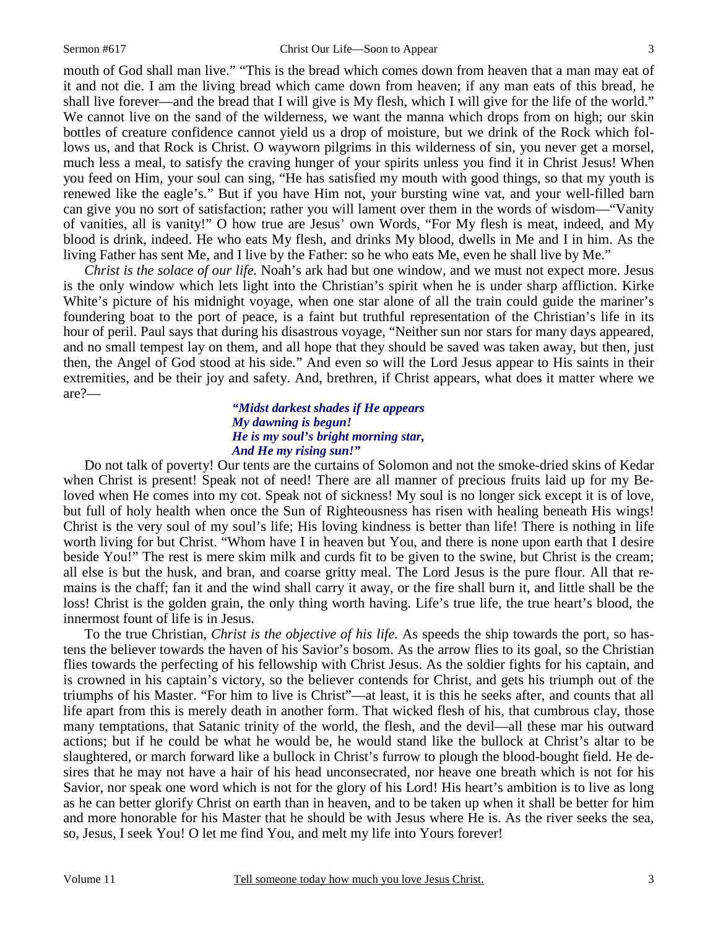mouth of God shall man live." "This is the bread which comes down from heaven that a man may eat of it and not die. I am the living bread which came down from heaven; if any man eats of this bread, he shall live forever—and the bread that I will give is My flesh, which I will give for the life of the world." We cannot live on the sand of the wilderness, we want the manna which drops from on high; our skin bottles of creature confidence cannot yield us a drop of moisture, but we drink of the Rock which follows us, and that Rock is Christ. O wayworn pilgrims in this wilderness of sin, you never get a morsel, much less a meal, to satisfy the craving hunger of your spirits unless you find it in Christ Jesus! When you feed on Him, your soul can sing, "He has satisfied my mouth with good things, so that my youth is renewed like the eagle's." But if you have Him not, your bursting wine vat, and your well-filled barn can give you no sort of satisfaction; rather you will lament over them in the words of wisdom—"Vanity of vanities, all is vanity!" O how true are Jesus' own Words, "For My flesh is meat, indeed, and My blood is drink, indeed. He who eats My flesh, and drinks My blood, dwells in Me and I in him. As the living Father has sent Me, and I live by the Father: so he who eats Me, even he shall live by Me."

*Christ is the solace of our life.* Noah's ark had but one window, and we must not expect more. Jesus is the only window which lets light into the Christian's spirit when he is under sharp affliction. Kirke White's picture of his midnight voyage, when one star alone of all the train could guide the mariner's foundering boat to the port of peace, is a faint but truthful representation of the Christian's life in its hour of peril. Paul says that during his disastrous voyage, "Neither sun nor stars for many days appeared, and no small tempest lay on them, and all hope that they should be saved was taken away, but then, just then, the Angel of God stood at his side." And even so will the Lord Jesus appear to His saints in their extremities, and be their joy and safety. And, brethren, if Christ appears, what does it matter where we are?—

### *"Midst darkest shades if He appears My dawning is begun! He is my soul's bright morning star, And He my rising sun!"*

 Do not talk of poverty! Our tents are the curtains of Solomon and not the smoke-dried skins of Kedar when Christ is present! Speak not of need! There are all manner of precious fruits laid up for my Beloved when He comes into my cot. Speak not of sickness! My soul is no longer sick except it is of love, but full of holy health when once the Sun of Righteousness has risen with healing beneath His wings! Christ is the very soul of my soul's life; His loving kindness is better than life! There is nothing in life worth living for but Christ. "Whom have I in heaven but You, and there is none upon earth that I desire beside You!" The rest is mere skim milk and curds fit to be given to the swine, but Christ is the cream; all else is but the husk, and bran, and coarse gritty meal. The Lord Jesus is the pure flour. All that remains is the chaff; fan it and the wind shall carry it away, or the fire shall burn it, and little shall be the loss! Christ is the golden grain, the only thing worth having. Life's true life, the true heart's blood, the innermost fount of life is in Jesus.

To the true Christian, *Christ is the objective of his life.* As speeds the ship towards the port, so hastens the believer towards the haven of his Savior's bosom. As the arrow flies to its goal, so the Christian flies towards the perfecting of his fellowship with Christ Jesus. As the soldier fights for his captain, and is crowned in his captain's victory, so the believer contends for Christ, and gets his triumph out of the triumphs of his Master. "For him to live is Christ"—at least, it is this he seeks after, and counts that all life apart from this is merely death in another form. That wicked flesh of his, that cumbrous clay, those many temptations, that Satanic trinity of the world, the flesh, and the devil—all these mar his outward actions; but if he could be what he would be, he would stand like the bullock at Christ's altar to be slaughtered, or march forward like a bullock in Christ's furrow to plough the blood-bought field. He desires that he may not have a hair of his head unconsecrated, nor heave one breath which is not for his Savior, nor speak one word which is not for the glory of his Lord! His heart's ambition is to live as long as he can better glorify Christ on earth than in heaven, and to be taken up when it shall be better for him and more honorable for his Master that he should be with Jesus where He is. As the river seeks the sea, so, Jesus, I seek You! O let me find You, and melt my life into Yours forever!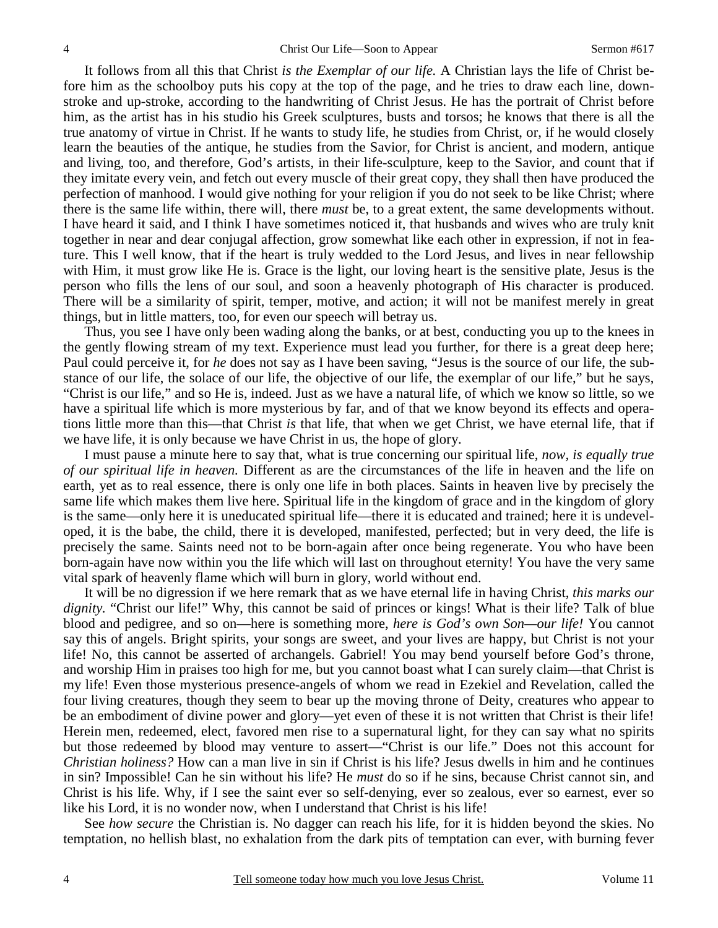It follows from all this that Christ *is the Exemplar of our life.* A Christian lays the life of Christ before him as the schoolboy puts his copy at the top of the page, and he tries to draw each line, downstroke and up-stroke, according to the handwriting of Christ Jesus. He has the portrait of Christ before him, as the artist has in his studio his Greek sculptures, busts and torsos; he knows that there is all the true anatomy of virtue in Christ. If he wants to study life, he studies from Christ, or, if he would closely learn the beauties of the antique, he studies from the Savior, for Christ is ancient, and modern, antique and living, too, and therefore, God's artists, in their life-sculpture, keep to the Savior, and count that if they imitate every vein, and fetch out every muscle of their great copy, they shall then have produced the perfection of manhood. I would give nothing for your religion if you do not seek to be like Christ; where there is the same life within, there will, there *must* be, to a great extent, the same developments without. I have heard it said, and I think I have sometimes noticed it, that husbands and wives who are truly knit together in near and dear conjugal affection, grow somewhat like each other in expression, if not in feature. This I well know, that if the heart is truly wedded to the Lord Jesus, and lives in near fellowship with Him, it must grow like He is. Grace is the light, our loving heart is the sensitive plate, Jesus is the person who fills the lens of our soul, and soon a heavenly photograph of His character is produced. There will be a similarity of spirit, temper, motive, and action; it will not be manifest merely in great things, but in little matters, too, for even our speech will betray us.

 Thus, you see I have only been wading along the banks, or at best, conducting you up to the knees in the gently flowing stream of my text. Experience must lead you further, for there is a great deep here; Paul could perceive it, for *he* does not say as I have been saving, "Jesus is the source of our life, the substance of our life, the solace of our life, the objective of our life, the exemplar of our life," but he says, "Christ is our life," and so He is, indeed. Just as we have a natural life, of which we know so little, so we have a spiritual life which is more mysterious by far, and of that we know beyond its effects and operations little more than this—that Christ *is* that life, that when we get Christ, we have eternal life, that if we have life, it is only because we have Christ in us, the hope of glory.

I must pause a minute here to say that, what is true concerning our spiritual life, *now, is equally true of our spiritual life in heaven.* Different as are the circumstances of the life in heaven and the life on earth, yet as to real essence, there is only one life in both places. Saints in heaven live by precisely the same life which makes them live here. Spiritual life in the kingdom of grace and in the kingdom of glory is the same—only here it is uneducated spiritual life—there it is educated and trained; here it is undeveloped, it is the babe, the child, there it is developed, manifested, perfected; but in very deed, the life is precisely the same. Saints need not to be born-again after once being regenerate. You who have been born-again have now within you the life which will last on throughout eternity! You have the very same vital spark of heavenly flame which will burn in glory, world without end.

It will be no digression if we here remark that as we have eternal life in having Christ, *this marks our dignity.* "Christ our life!" Why, this cannot be said of princes or kings! What is their life? Talk of blue blood and pedigree, and so on—here is something more, *here is God's own Son—our life!* You cannot say this of angels. Bright spirits, your songs are sweet, and your lives are happy, but Christ is not your life! No, this cannot be asserted of archangels. Gabriel! You may bend yourself before God's throne, and worship Him in praises too high for me, but you cannot boast what I can surely claim—that Christ is my life! Even those mysterious presence-angels of whom we read in Ezekiel and Revelation, called the four living creatures, though they seem to bear up the moving throne of Deity, creatures who appear to be an embodiment of divine power and glory—yet even of these it is not written that Christ is their life! Herein men, redeemed, elect, favored men rise to a supernatural light, for they can say what no spirits but those redeemed by blood may venture to assert—"Christ is our life." Does not this account for *Christian holiness?* How can a man live in sin if Christ is his life? Jesus dwells in him and he continues in sin? Impossible! Can he sin without his life? He *must* do so if he sins, because Christ cannot sin, and Christ is his life. Why, if I see the saint ever so self-denying, ever so zealous, ever so earnest, ever so like his Lord, it is no wonder now, when I understand that Christ is his life!

See *how secure* the Christian is. No dagger can reach his life, for it is hidden beyond the skies. No temptation, no hellish blast, no exhalation from the dark pits of temptation can ever, with burning fever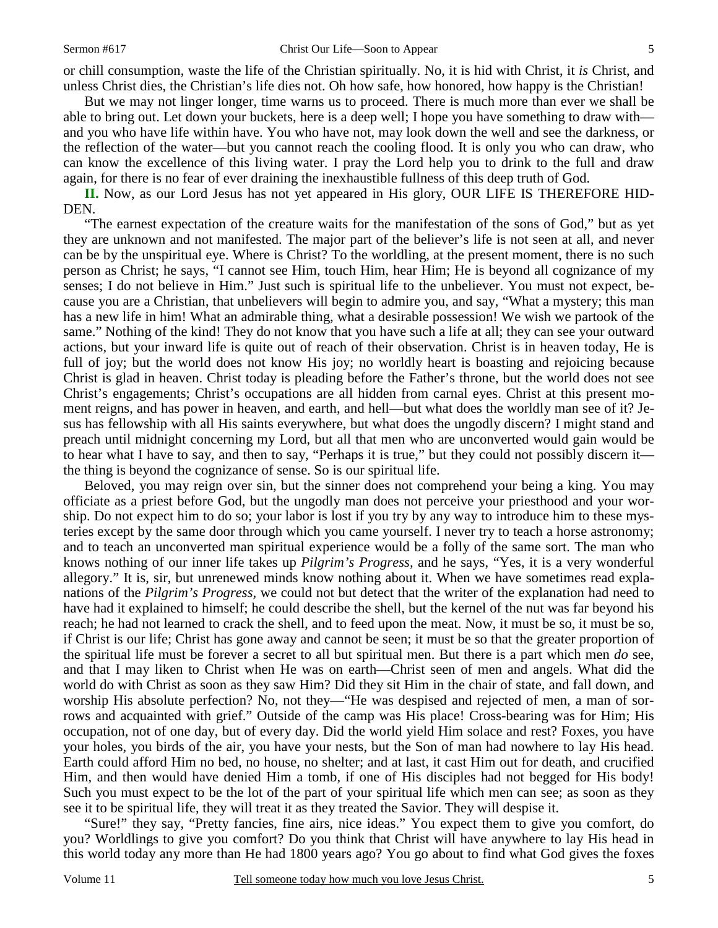or chill consumption, waste the life of the Christian spiritually. No, it is hid with Christ, it *is* Christ, and unless Christ dies, the Christian's life dies not. Oh how safe, how honored, how happy is the Christian!

 But we may not linger longer, time warns us to proceed. There is much more than ever we shall be able to bring out. Let down your buckets, here is a deep well; I hope you have something to draw with and you who have life within have. You who have not, may look down the well and see the darkness, or the reflection of the water—but you cannot reach the cooling flood. It is only you who can draw, who can know the excellence of this living water. I pray the Lord help you to drink to the full and draw again, for there is no fear of ever draining the inexhaustible fullness of this deep truth of God.

**II.** Now, as our Lord Jesus has not yet appeared in His glory, OUR LIFE IS THEREFORE HID-DEN.

"The earnest expectation of the creature waits for the manifestation of the sons of God," but as yet they are unknown and not manifested. The major part of the believer's life is not seen at all, and never can be by the unspiritual eye. Where is Christ? To the worldling, at the present moment, there is no such person as Christ; he says, "I cannot see Him, touch Him, hear Him; He is beyond all cognizance of my senses; I do not believe in Him." Just such is spiritual life to the unbeliever. You must not expect, because you are a Christian, that unbelievers will begin to admire you, and say, "What a mystery; this man has a new life in him! What an admirable thing, what a desirable possession! We wish we partook of the same." Nothing of the kind! They do not know that you have such a life at all; they can see your outward actions, but your inward life is quite out of reach of their observation. Christ is in heaven today, He is full of joy; but the world does not know His joy; no worldly heart is boasting and rejoicing because Christ is glad in heaven. Christ today is pleading before the Father's throne, but the world does not see Christ's engagements; Christ's occupations are all hidden from carnal eyes. Christ at this present moment reigns, and has power in heaven, and earth, and hell—but what does the worldly man see of it? Jesus has fellowship with all His saints everywhere, but what does the ungodly discern? I might stand and preach until midnight concerning my Lord, but all that men who are unconverted would gain would be to hear what I have to say, and then to say, "Perhaps it is true," but they could not possibly discern it the thing is beyond the cognizance of sense. So is our spiritual life.

Beloved, you may reign over sin, but the sinner does not comprehend your being a king. You may officiate as a priest before God, but the ungodly man does not perceive your priesthood and your worship. Do not expect him to do so; your labor is lost if you try by any way to introduce him to these mysteries except by the same door through which you came yourself. I never try to teach a horse astronomy; and to teach an unconverted man spiritual experience would be a folly of the same sort. The man who knows nothing of our inner life takes up *Pilgrim's Progress,* and he says, "Yes, it is a very wonderful allegory." It is, sir, but unrenewed minds know nothing about it. When we have sometimes read explanations of the *Pilgrim's Progress,* we could not but detect that the writer of the explanation had need to have had it explained to himself; he could describe the shell, but the kernel of the nut was far beyond his reach; he had not learned to crack the shell, and to feed upon the meat. Now, it must be so, it must be so, if Christ is our life; Christ has gone away and cannot be seen; it must be so that the greater proportion of the spiritual life must be forever a secret to all but spiritual men. But there is a part which men *do* see, and that I may liken to Christ when He was on earth—Christ seen of men and angels. What did the world do with Christ as soon as they saw Him? Did they sit Him in the chair of state, and fall down, and worship His absolute perfection? No, not they—"He was despised and rejected of men, a man of sorrows and acquainted with grief." Outside of the camp was His place! Cross-bearing was for Him; His occupation, not of one day, but of every day. Did the world yield Him solace and rest? Foxes, you have your holes, you birds of the air, you have your nests, but the Son of man had nowhere to lay His head. Earth could afford Him no bed, no house, no shelter; and at last, it cast Him out for death, and crucified Him, and then would have denied Him a tomb, if one of His disciples had not begged for His body! Such you must expect to be the lot of the part of your spiritual life which men can see; as soon as they see it to be spiritual life, they will treat it as they treated the Savior. They will despise it.

"Sure!" they say, "Pretty fancies, fine airs, nice ideas." You expect them to give you comfort, do you? Worldlings to give you comfort? Do you think that Christ will have anywhere to lay His head in this world today any more than He had 1800 years ago? You go about to find what God gives the foxes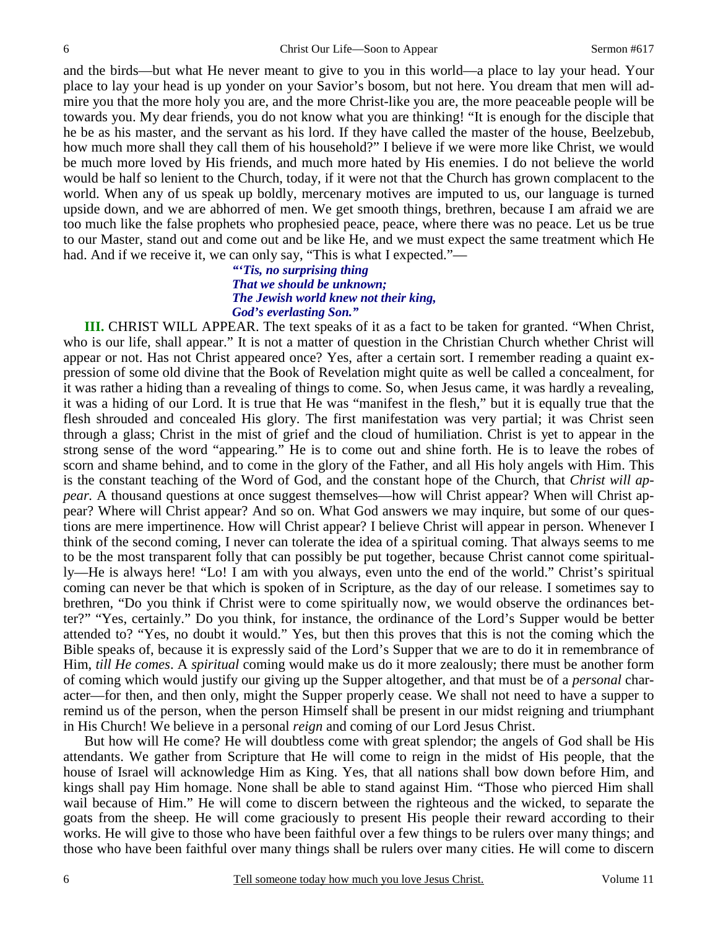and the birds—but what He never meant to give to you in this world—a place to lay your head. Your place to lay your head is up yonder on your Savior's bosom, but not here. You dream that men will admire you that the more holy you are, and the more Christ-like you are, the more peaceable people will be towards you. My dear friends, you do not know what you are thinking! "It is enough for the disciple that he be as his master, and the servant as his lord. If they have called the master of the house, Beelzebub, how much more shall they call them of his household?" I believe if we were more like Christ, we would be much more loved by His friends, and much more hated by His enemies. I do not believe the world would be half so lenient to the Church, today, if it were not that the Church has grown complacent to the world. When any of us speak up boldly, mercenary motives are imputed to us, our language is turned upside down, and we are abhorred of men. We get smooth things, brethren, because I am afraid we are too much like the false prophets who prophesied peace, peace, where there was no peace. Let us be true to our Master, stand out and come out and be like He, and we must expect the same treatment which He had. And if we receive it, we can only say, "This is what I expected."—

#### *"'Tis, no surprising thing That we should be unknown; The Jewish world knew not their king, God's everlasting Son."*

**III.** CHRIST WILL APPEAR. The text speaks of it as a fact to be taken for granted. "When Christ, who is our life, shall appear." It is not a matter of question in the Christian Church whether Christ will appear or not. Has not Christ appeared once? Yes, after a certain sort. I remember reading a quaint expression of some old divine that the Book of Revelation might quite as well be called a concealment, for it was rather a hiding than a revealing of things to come. So, when Jesus came, it was hardly a revealing, it was a hiding of our Lord. It is true that He was "manifest in the flesh," but it is equally true that the flesh shrouded and concealed His glory. The first manifestation was very partial; it was Christ seen through a glass; Christ in the mist of grief and the cloud of humiliation. Christ is yet to appear in the strong sense of the word "appearing." He is to come out and shine forth. He is to leave the robes of scorn and shame behind, and to come in the glory of the Father, and all His holy angels with Him. This is the constant teaching of the Word of God, and the constant hope of the Church, that *Christ will appear.* A thousand questions at once suggest themselves—how will Christ appear? When will Christ appear? Where will Christ appear? And so on. What God answers we may inquire, but some of our questions are mere impertinence. How will Christ appear? I believe Christ will appear in person. Whenever I think of the second coming, I never can tolerate the idea of a spiritual coming. That always seems to me to be the most transparent folly that can possibly be put together, because Christ cannot come spiritually—He is always here! "Lo! I am with you always, even unto the end of the world." Christ's spiritual coming can never be that which is spoken of in Scripture, as the day of our release. I sometimes say to brethren, "Do you think if Christ were to come spiritually now, we would observe the ordinances better?" "Yes, certainly." Do you think, for instance, the ordinance of the Lord's Supper would be better attended to? "Yes, no doubt it would." Yes, but then this proves that this is not the coming which the Bible speaks of, because it is expressly said of the Lord's Supper that we are to do it in remembrance of Him, *till He comes*. A *spiritual* coming would make us do it more zealously; there must be another form of coming which would justify our giving up the Supper altogether, and that must be of a *personal* character—for then, and then only, might the Supper properly cease. We shall not need to have a supper to remind us of the person, when the person Himself shall be present in our midst reigning and triumphant in His Church! We believe in a personal *reign* and coming of our Lord Jesus Christ.

But how will He come? He will doubtless come with great splendor; the angels of God shall be His attendants. We gather from Scripture that He will come to reign in the midst of His people, that the house of Israel will acknowledge Him as King. Yes, that all nations shall bow down before Him, and kings shall pay Him homage. None shall be able to stand against Him. "Those who pierced Him shall wail because of Him." He will come to discern between the righteous and the wicked, to separate the goats from the sheep. He will come graciously to present His people their reward according to their works. He will give to those who have been faithful over a few things to be rulers over many things; and those who have been faithful over many things shall be rulers over many cities. He will come to discern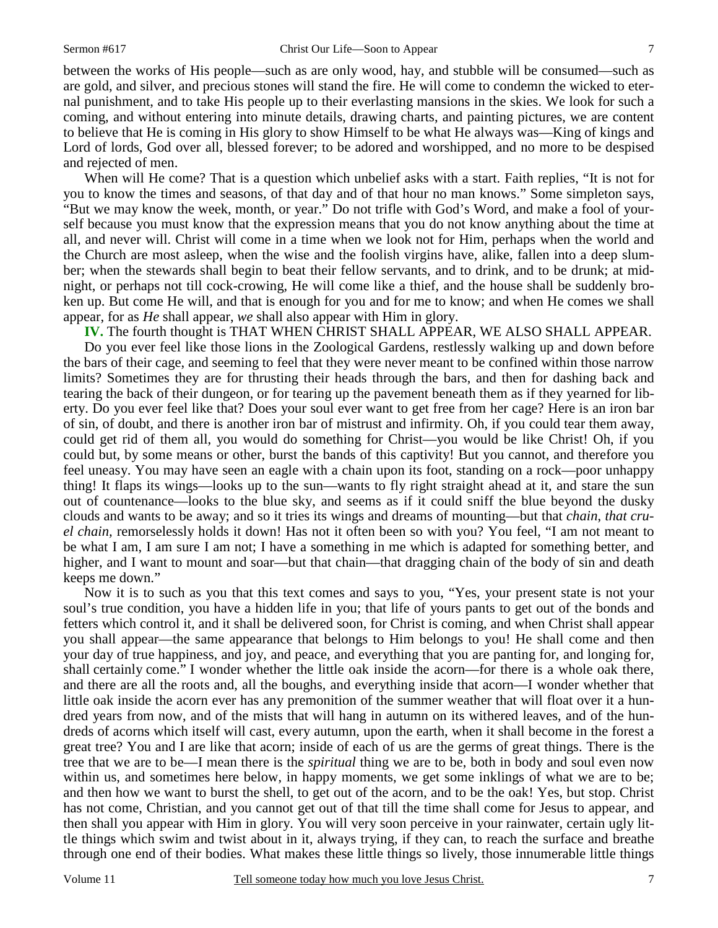between the works of His people—such as are only wood, hay, and stubble will be consumed—such as are gold, and silver, and precious stones will stand the fire. He will come to condemn the wicked to eternal punishment, and to take His people up to their everlasting mansions in the skies. We look for such a coming, and without entering into minute details, drawing charts, and painting pictures, we are content to believe that He is coming in His glory to show Himself to be what He always was—King of kings and Lord of lords, God over all, blessed forever; to be adored and worshipped, and no more to be despised and rejected of men.

 When will He come? That is a question which unbelief asks with a start. Faith replies, "It is not for you to know the times and seasons, of that day and of that hour no man knows." Some simpleton says, "But we may know the week, month, or year." Do not trifle with God's Word, and make a fool of yourself because you must know that the expression means that you do not know anything about the time at all, and never will. Christ will come in a time when we look not for Him, perhaps when the world and the Church are most asleep, when the wise and the foolish virgins have, alike, fallen into a deep slumber; when the stewards shall begin to beat their fellow servants, and to drink, and to be drunk; at midnight, or perhaps not till cock-crowing, He will come like a thief, and the house shall be suddenly broken up. But come He will, and that is enough for you and for me to know; and when He comes we shall appear, for as *He* shall appear, *we* shall also appear with Him in glory.

**IV.** The fourth thought is THAT WHEN CHRIST SHALL APPEAR, WE ALSO SHALL APPEAR.

Do you ever feel like those lions in the Zoological Gardens, restlessly walking up and down before the bars of their cage, and seeming to feel that they were never meant to be confined within those narrow limits? Sometimes they are for thrusting their heads through the bars, and then for dashing back and tearing the back of their dungeon, or for tearing up the pavement beneath them as if they yearned for liberty. Do you ever feel like that? Does your soul ever want to get free from her cage? Here is an iron bar of sin, of doubt, and there is another iron bar of mistrust and infirmity. Oh, if you could tear them away, could get rid of them all, you would do something for Christ—you would be like Christ! Oh, if you could but, by some means or other, burst the bands of this captivity! But you cannot, and therefore you feel uneasy. You may have seen an eagle with a chain upon its foot, standing on a rock—poor unhappy thing! It flaps its wings—looks up to the sun—wants to fly right straight ahead at it, and stare the sun out of countenance—looks to the blue sky, and seems as if it could sniff the blue beyond the dusky clouds and wants to be away; and so it tries its wings and dreams of mounting—but that *chain*, *that cruel chain,* remorselessly holds it down! Has not it often been so with you? You feel, "I am not meant to be what I am, I am sure I am not; I have a something in me which is adapted for something better, and higher, and I want to mount and soar—but that chain—that dragging chain of the body of sin and death keeps me down."

Now it is to such as you that this text comes and says to you, "Yes, your present state is not your soul's true condition, you have a hidden life in you; that life of yours pants to get out of the bonds and fetters which control it, and it shall be delivered soon, for Christ is coming, and when Christ shall appear you shall appear—the same appearance that belongs to Him belongs to you! He shall come and then your day of true happiness, and joy, and peace, and everything that you are panting for, and longing for, shall certainly come." I wonder whether the little oak inside the acorn—for there is a whole oak there, and there are all the roots and, all the boughs, and everything inside that acorn—I wonder whether that little oak inside the acorn ever has any premonition of the summer weather that will float over it a hundred years from now, and of the mists that will hang in autumn on its withered leaves, and of the hundreds of acorns which itself will cast, every autumn, upon the earth, when it shall become in the forest a great tree? You and I are like that acorn; inside of each of us are the germs of great things. There is the tree that we are to be—I mean there is the *spiritual* thing we are to be, both in body and soul even now within us, and sometimes here below, in happy moments, we get some inklings of what we are to be; and then how we want to burst the shell, to get out of the acorn, and to be the oak! Yes, but stop. Christ has not come, Christian, and you cannot get out of that till the time shall come for Jesus to appear, and then shall you appear with Him in glory. You will very soon perceive in your rainwater, certain ugly little things which swim and twist about in it, always trying, if they can, to reach the surface and breathe through one end of their bodies. What makes these little things so lively, those innumerable little things